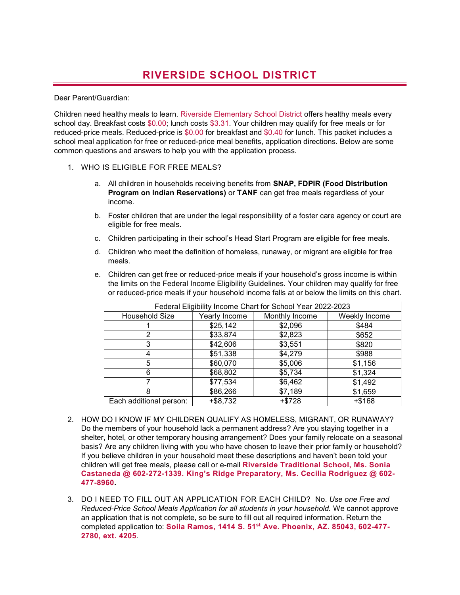## RIVERSIDE SCHOOL DISTRICT

Dear Parent/Guardian:

Children need healthy meals to learn. Riverside Elementary School District offers healthy meals every school day. Breakfast costs \$0.00; lunch costs \$3.31. Your children may qualify for free meals or for reduced-price meals. Reduced-price is \$0.00 for breakfast and \$0.40 for lunch. This packet includes a school meal application for free or reduced-price meal benefits, application directions. Below are some common questions and answers to help you with the application process.

- 1. WHO IS ELIGIBLE FOR FREE MEALS?
	- a. All children in households receiving benefits from SNAP, FDPIR (Food Distribution Program on Indian Reservations) or TANF can get free meals regardless of your income.
	- b. Foster children that are under the legal responsibility of a foster care agency or court are eligible for free meals.
	- c. Children participating in their school's Head Start Program are eligible for free meals.
	- d. Children who meet the definition of homeless, runaway, or migrant are eligible for free meals.
	- e. Children can get free or reduced-price meals if your household's gross income is within the limits on the Federal Income Eligibility Guidelines. Your children may qualify for free or reduced-price meals if your household income falls at or below the limits on this chart.

| Federal Eligibility Income Chart for School Year 2022-2023 |               |                |               |
|------------------------------------------------------------|---------------|----------------|---------------|
| Household Size                                             | Yearly Income | Monthly Income | Weekly Income |
|                                                            | \$25,142      | \$2,096        | \$484         |
|                                                            | \$33,874      | \$2,823        | \$652         |
|                                                            | \$42,606      | \$3,551        | \$820         |
|                                                            | \$51,338      | \$4,279        | \$988         |
| 5                                                          | \$60,070      | \$5,006        | \$1,156       |
| 6                                                          | \$68,802      | \$5,734        | \$1,324       |
|                                                            | \$77,534      | \$6,462        | \$1,492       |
| 8                                                          | \$86,266      | \$7,189        | \$1,659       |
| Each additional person:                                    | $+ $8,732$    | $+ $728$       | $+ $168$      |

- 2. HOW DO I KNOW IF MY CHILDREN QUALIFY AS HOMELESS, MIGRANT, OR RUNAWAY? Do the members of your household lack a permanent address? Are you staying together in a shelter, hotel, or other temporary housing arrangement? Does your family relocate on a seasonal basis? Are any children living with you who have chosen to leave their prior family or household? If you believe children in your household meet these descriptions and haven't been told your children will get free meals, please call or e-mail Riverside Traditional School, Ms. Sonia Castaneda @ 602-272-1339. King's Ridge Preparatory, Ms. Cecilia Rodriguez @ 602- 477-8960.
- 3. DO I NEED TO FILL OUT AN APPLICATION FOR EACH CHILD? No. Use one Free and Reduced-Price School Meals Application for all students in your household. We cannot approve an application that is not complete, so be sure to fill out all required information. Return the completed application to: Soila Ramos, 1414 S. 51st Ave. Phoenix, AZ. 85043, 602-477- 2780, ext. 4205.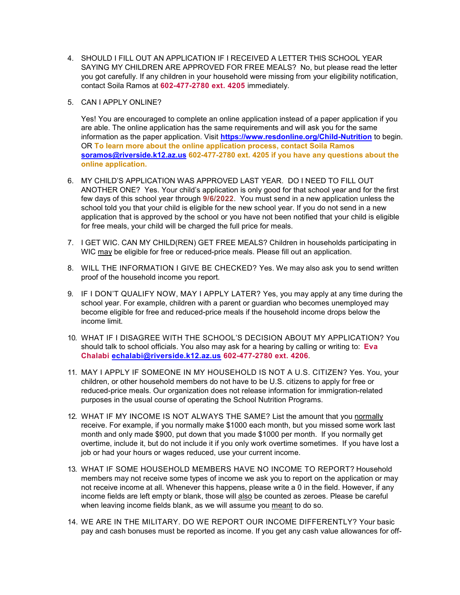- 4. SHOULD I FILL OUT AN APPLICATION IF I RECEIVED A LETTER THIS SCHOOL YEAR SAYING MY CHILDREN ARE APPROVED FOR FREE MEALS? No, but please read the letter you got carefully. If any children in your household were missing from your eligibility notification, contact Soila Ramos at 602-477-2780 ext. 4205 immediately.
- 5. CAN I APPLY ONLINE?

Yes! You are encouraged to complete an online application instead of a paper application if you are able. The online application has the same requirements and will ask you for the same information as the paper application. Visit https://www.resdonline.org/Child-Nutrition to begin. OR To learn more about the online application process, contact Soila Ramos soramos@riverside.k12.az.us 602-477-2780 ext. 4205 if you have any questions about the online application.

- 6. MY CHILD'S APPLICATION WAS APPROVED LAST YEAR. DO I NEED TO FILL OUT ANOTHER ONE? Yes. Your child's application is only good for that school year and for the first few days of this school year through 9/6/2022. You must send in a new application unless the school told you that your child is eligible for the new school year. If you do not send in a new application that is approved by the school or you have not been notified that your child is eligible for free meals, your child will be charged the full price for meals.
- 7. I GET WIC. CAN MY CHILD(REN) GET FREE MEALS? Children in households participating in WIC may be eligible for free or reduced-price meals. Please fill out an application.
- 8. WILL THE INFORMATION I GIVE BE CHECKED? Yes. We may also ask you to send written proof of the household income you report.
- 9. IF I DON'T QUALIFY NOW, MAY I APPLY LATER? Yes, you may apply at any time during the school year. For example, children with a parent or guardian who becomes unemployed may become eligible for free and reduced-price meals if the household income drops below the income limit.
- 10. WHAT IF I DISAGREE WITH THE SCHOOL'S DECISION ABOUT MY APPLICATION? You should talk to school officials. You also may ask for a hearing by calling or writing to: Eva Chalabi echalabi@riverside.k12.az.us 602-477-2780 ext. 4206.
- 11. MAY I APPLY IF SOMEONE IN MY HOUSEHOLD IS NOT A U.S. CITIZEN? Yes. You, your children, or other household members do not have to be U.S. citizens to apply for free or reduced-price meals. Our organization does not release information for immigration-related purposes in the usual course of operating the School Nutrition Programs.
- 12. WHAT IF MY INCOME IS NOT ALWAYS THE SAME? List the amount that you normally receive. For example, if you normally make \$1000 each month, but you missed some work last month and only made \$900, put down that you made \$1000 per month. If you normally get overtime, include it, but do not include it if you only work overtime sometimes. If you have lost a job or had your hours or wages reduced, use your current income.
- 13. WHAT IF SOME HOUSEHOLD MEMBERS HAVE NO INCOME TO REPORT? Household members may not receive some types of income we ask you to report on the application or may not receive income at all. Whenever this happens, please write a 0 in the field. However, if any income fields are left empty or blank, those will also be counted as zeroes. Please be careful when leaving income fields blank, as we will assume you meant to do so.
- 14. WE ARE IN THE MILITARY. DO WE REPORT OUR INCOME DIFFERENTLY? Your basic pay and cash bonuses must be reported as income. If you get any cash value allowances for off-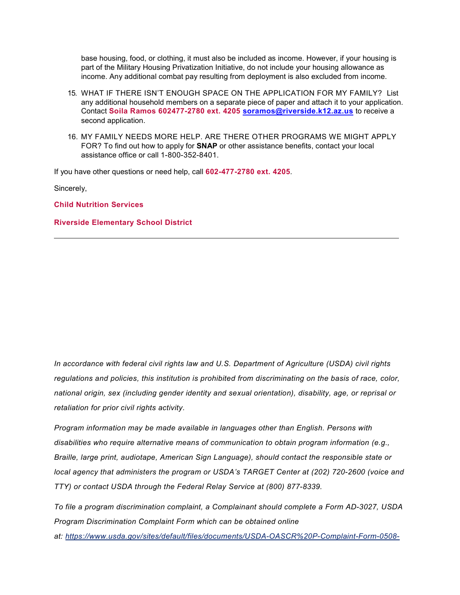base housing, food, or clothing, it must also be included as income. However, if your housing is part of the Military Housing Privatization Initiative, do not include your housing allowance as income. Any additional combat pay resulting from deployment is also excluded from income.

- 15. WHAT IF THERE ISN'T ENOUGH SPACE ON THE APPLICATION FOR MY FAMILY? List any additional household members on a separate piece of paper and attach it to your application. Contact Soila Ramos 602477-2780 ext. 4205 soramos@riverside.k12.az.us to receive a second application.
- 16. MY FAMILY NEEDS MORE HELP. ARE THERE OTHER PROGRAMS WE MIGHT APPLY FOR? To find out how to apply for **SNAP** or other assistance benefits, contact your local assistance office or call 1-800-352-8401.

If you have other questions or need help, call 602-477-2780 ext. 4205.

Sincerely,

Child Nutrition Services

## Riverside Elementary School District

In accordance with federal civil rights law and U.S. Department of Agriculture (USDA) civil rights regulations and policies, this institution is prohibited from discriminating on the basis of race, color, national origin, sex (including gender identity and sexual orientation), disability, age, or reprisal or retaliation for prior civil rights activity.

Program information may be made available in languages other than English. Persons with disabilities who require alternative means of communication to obtain program information (e.g., Braille, large print, audiotape, American Sign Language), should contact the responsible state or local agency that administers the program or USDA's TARGET Center at (202) 720-2600 (voice and TTY) or contact USDA through the Federal Relay Service at (800) 877-8339.

To file a program discrimination complaint, a Complainant should complete a Form AD-3027, USDA Program Discrimination Complaint Form which can be obtained online at: https://www.usda.gov/sites/default/files/documents/USDA-OASCR%20P-Complaint-Form-0508